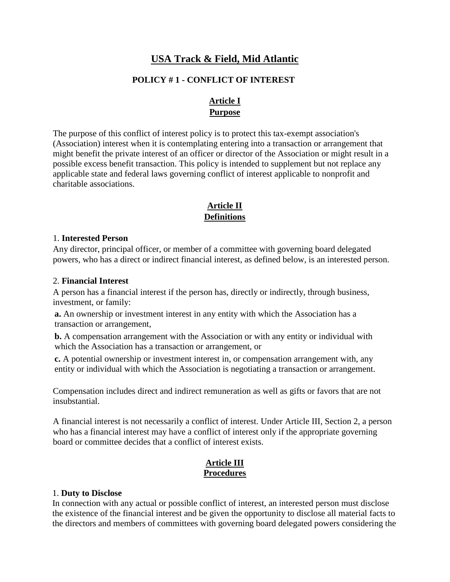# **USA Track & Field, Mid Atlantic**

### **POLICY # 1 - CONFLICT OF INTEREST**

# **Article I Purpose**

The purpose of this conflict of interest policy is to protect this tax-exempt association's (Association) interest when it is contemplating entering into a transaction or arrangement that might benefit the private interest of an officer or director of the Association or might result in a possible excess benefit transaction. This policy is intended to supplement but not replace any applicable state and federal laws governing conflict of interest applicable to nonprofit and charitable associations.

# **Article II Definitions**

#### 1. **Interested Person**

Any director, principal officer, or member of a committee with governing board delegated powers, who has a direct or indirect financial interest, as defined below, is an interested person.

#### 2. **Financial Interest**

A person has a financial interest if the person has, directly or indirectly, through business, investment, or family:

**a.** An ownership or investment interest in any entity with which the Association has a transaction or arrangement,

**b.** A compensation arrangement with the Association or with any entity or individual with which the Association has a transaction or arrangement, or

**c.** A potential ownership or investment interest in, or compensation arrangement with, any entity or individual with which the Association is negotiating a transaction or arrangement.

Compensation includes direct and indirect remuneration as well as gifts or favors that are not insubstantial.

A financial interest is not necessarily a conflict of interest. Under Article III, Section 2, a person who has a financial interest may have a conflict of interest only if the appropriate governing board or committee decides that a conflict of interest exists.

# **Article III Procedures**

#### 1. **Duty to Disclose**

In connection with any actual or possible conflict of interest, an interested person must disclose the existence of the financial interest and be given the opportunity to disclose all material facts to the directors and members of committees with governing board delegated powers considering the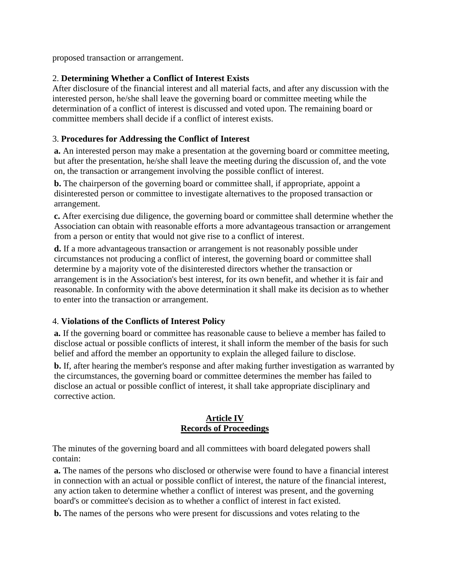proposed transaction or arrangement.

## 2. **Determining Whether a Conflict of Interest Exists**

After disclosure of the financial interest and all material facts, and after any discussion with the interested person, he/she shall leave the governing board or committee meeting while the determination of a conflict of interest is discussed and voted upon. The remaining board or committee members shall decide if a conflict of interest exists.

# 3. **Procedures for Addressing the Conflict of Interest**

**a.** An interested person may make a presentation at the governing board or committee meeting, but after the presentation, he/she shall leave the meeting during the discussion of, and the vote on, the transaction or arrangement involving the possible conflict of interest.

**b.** The chairperson of the governing board or committee shall, if appropriate, appoint a disinterested person or committee to investigate alternatives to the proposed transaction or arrangement.

**c.** After exercising due diligence, the governing board or committee shall determine whether the Association can obtain with reasonable efforts a more advantageous transaction or arrangement from a person or entity that would not give rise to a conflict of interest.

**d.** If a more advantageous transaction or arrangement is not reasonably possible under circumstances not producing a conflict of interest, the governing board or committee shall determine by a majority vote of the disinterested directors whether the transaction or arrangement is in the Association's best interest, for its own benefit, and whether it is fair and reasonable. In conformity with the above determination it shall make its decision as to whether to enter into the transaction or arrangement.

## 4. **Violations of the Conflicts of Interest Policy**

**a.** If the governing board or committee has reasonable cause to believe a member has failed to disclose actual or possible conflicts of interest, it shall inform the member of the basis for such belief and afford the member an opportunity to explain the alleged failure to disclose.

**b.** If, after hearing the member's response and after making further investigation as warranted by the circumstances, the governing board or committee determines the member has failed to disclose an actual or possible conflict of interest, it shall take appropriate disciplinary and corrective action.

#### **Article IV Records of Proceedings**

The minutes of the governing board and all committees with board delegated powers shall contain:

**a.** The names of the persons who disclosed or otherwise were found to have a financial interest in connection with an actual or possible conflict of interest, the nature of the financial interest, any action taken to determine whether a conflict of interest was present, and the governing board's or committee's decision as to whether a conflict of interest in fact existed.

**b.** The names of the persons who were present for discussions and votes relating to the